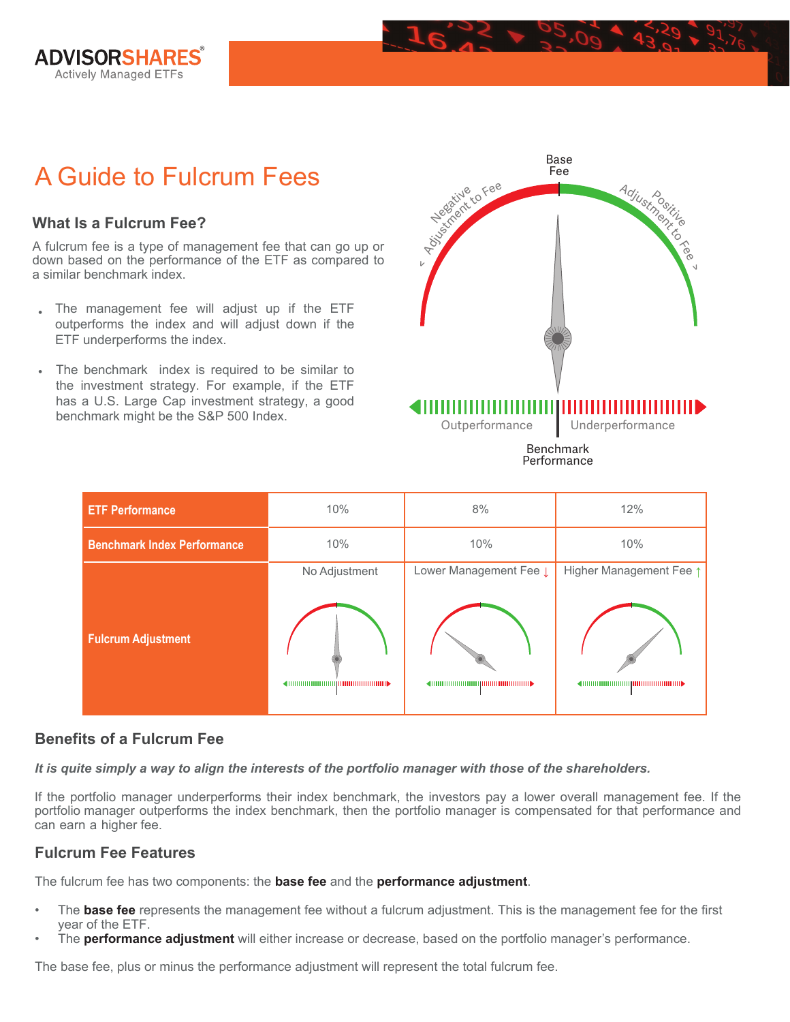

# A Guide to Fulcrum Fees

## **What Is a Fulcrum Fee?**

A fulcrum fee is a type of management fee that can go up or down based on the performance of the ETF as compared to a similar benchmark index.

- The management fee will adjust up if the ETF outperforms the index and will adjust down if the ETF underperforms the index.
- The benchmark index is required to be similar to the investment strategy. For example, if the ETF has a U.S. Large Cap investment strategy, a good benchmark might be the S&P 500 Index.



Performance

| <b>ETF Performance</b>             | 10%           | 8%                     | 12%                     |
|------------------------------------|---------------|------------------------|-------------------------|
| <b>Benchmark Index Performance</b> | 10%           | 10%                    | 10%                     |
|                                    | No Adjustment | Lower Management Fee L | Higher Management Fee 1 |
| <b>Fulcrum Adjustment</b>          |               | ◀ⅢⅢⅢⅢⅢⅢⅢⅢⅢⅢⅢⅢⅢⅢ■▶      |                         |

# **Benefits of a Fulcrum Fee**

*It is quite simply a way to align the interests of the portfolio manager with those of the shareholders.*

If the portfolio manager underperforms their index benchmark, the investors pay a lower overall management fee. If the portfolio manager outperforms the index benchmark, then the portfolio manager is compensated for that performance and can earn a higher fee.

#### **Fulcrum Fee Features**

The fulcrum fee has two components: the **base fee** and the **performance adjustment**.

- The **base fee** represents the management fee without a fulcrum adjustment. This is the management fee for the first year of the ETF.
- The **performance adjustment** will either increase or decrease, based on the portfolio manager's performance.

The base fee, plus or minus the performance adjustment will represent the total fulcrum fee.